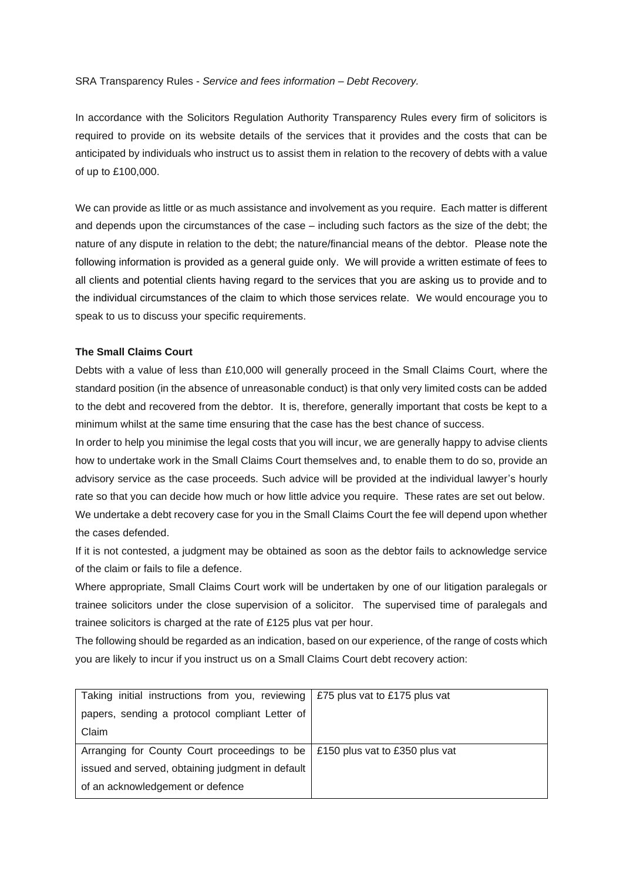## SRA Transparency Rules - *Service and fees information – Debt Recovery.*

In accordance with the Solicitors Regulation Authority Transparency Rules every firm of solicitors is required to provide on its website details of the services that it provides and the costs that can be anticipated by individuals who instruct us to assist them in relation to the recovery of debts with a value of up to £100,000.

We can provide as little or as much assistance and involvement as you require. Each matter is different and depends upon the circumstances of the case – including such factors as the size of the debt; the nature of any dispute in relation to the debt; the nature/financial means of the debtor. Please note the following information is provided as a general guide only. We will provide a written estimate of fees to all clients and potential clients having regard to the services that you are asking us to provide and to the individual circumstances of the claim to which those services relate. We would encourage you to speak to us to discuss your specific requirements.

## **The Small Claims Court**

Debts with a value of less than £10,000 will generally proceed in the Small Claims Court, where the standard position (in the absence of unreasonable conduct) is that only very limited costs can be added to the debt and recovered from the debtor. It is, therefore, generally important that costs be kept to a minimum whilst at the same time ensuring that the case has the best chance of success.

In order to help you minimise the legal costs that you will incur, we are generally happy to advise clients how to undertake work in the Small Claims Court themselves and, to enable them to do so, provide an advisory service as the case proceeds. Such advice will be provided at the individual lawyer's hourly rate so that you can decide how much or how little advice you require. These rates are set out below. We undertake a debt recovery case for you in the Small Claims Court the fee will depend upon whether the cases defended.

If it is not contested, a judgment may be obtained as soon as the debtor fails to acknowledge service of the claim or fails to file a defence.

Where appropriate, Small Claims Court work will be undertaken by one of our litigation paralegals or trainee solicitors under the close supervision of a solicitor. The supervised time of paralegals and trainee solicitors is charged at the rate of £125 plus vat per hour.

The following should be regarded as an indication, based on our experience, of the range of costs which you are likely to incur if you instruct us on a Small Claims Court debt recovery action:

| Taking initial instructions from you, reviewing $\frac{275}{275}$ plus vat to £175 plus vat |  |
|---------------------------------------------------------------------------------------------|--|
| papers, sending a protocol compliant Letter of                                              |  |
| Claim                                                                                       |  |
| Arranging for County Court proceedings to be   £150 plus vat to £350 plus vat               |  |
| issued and served, obtaining judgment in default                                            |  |
| of an acknowledgement or defence                                                            |  |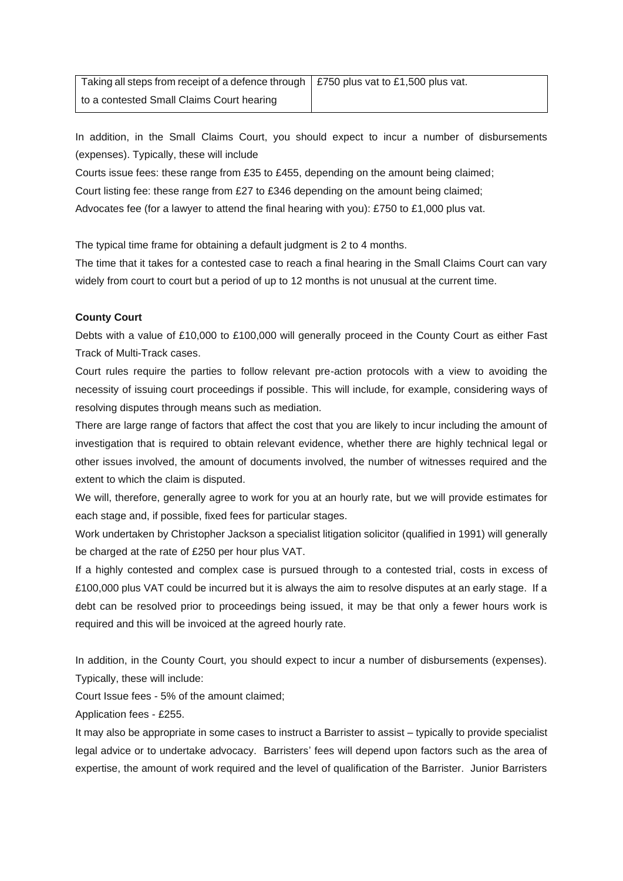Taking all steps from receipt of a defence through to a contested Small Claims Court hearing £750 plus vat to £1,500 plus vat.

In addition, in the Small Claims Court, you should expect to incur a number of disbursements (expenses). Typically, these will include

Courts issue fees: these range from £35 to £455, depending on the amount being claimed; Court listing fee: these range from £27 to £346 depending on the amount being claimed; Advocates fee (for a lawyer to attend the final hearing with you): £750 to £1,000 plus vat.

The typical time frame for obtaining a default judgment is 2 to 4 months.

The time that it takes for a contested case to reach a final hearing in the Small Claims Court can vary widely from court to court but a period of up to 12 months is not unusual at the current time.

## **County Court**

Debts with a value of £10,000 to £100,000 will generally proceed in the County Court as either Fast Track of Multi-Track cases.

Court rules require the parties to follow relevant pre-action protocols with a view to avoiding the necessity of issuing court proceedings if possible. This will include, for example, considering ways of resolving disputes through means such as mediation.

There are large range of factors that affect the cost that you are likely to incur including the amount of investigation that is required to obtain relevant evidence, whether there are highly technical legal or other issues involved, the amount of documents involved, the number of witnesses required and the extent to which the claim is disputed.

We will, therefore, generally agree to work for you at an hourly rate, but we will provide estimates for each stage and, if possible, fixed fees for particular stages.

Work undertaken by Christopher Jackson a specialist litigation solicitor (qualified in 1991) will generally be charged at the rate of £250 per hour plus VAT.

If a highly contested and complex case is pursued through to a contested trial, costs in excess of £100,000 plus VAT could be incurred but it is always the aim to resolve disputes at an early stage. If a debt can be resolved prior to proceedings being issued, it may be that only a fewer hours work is required and this will be invoiced at the agreed hourly rate.

In addition, in the County Court, you should expect to incur a number of disbursements (expenses). Typically, these will include:

Court Issue fees - 5% of the amount claimed;

Application fees - £255.

It may also be appropriate in some cases to instruct a Barrister to assist – typically to provide specialist legal advice or to undertake advocacy. Barristers' fees will depend upon factors such as the area of expertise, the amount of work required and the level of qualification of the Barrister. Junior Barristers